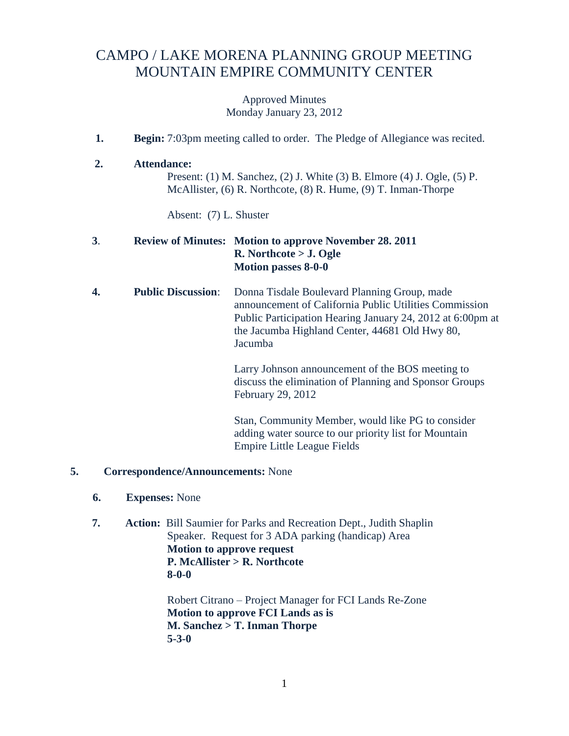## CAMPO / LAKE MORENA PLANNING GROUP MEETING MOUNTAIN EMPIRE COMMUNITY CENTER

Approved Minutes Monday January 23, 2012

- **1. Begin:** 7:03pm meeting called to order. The Pledge of Allegiance was recited.
- **2. Attendance:**

Present: (1) M. Sanchez, (2) J. White (3) B. Elmore (4) J. Ogle, (5) P. McAllister, (6) R. Northcote, (8) R. Hume, (9) T. Inman-Thorpe

Absent: (7) L. Shuster

## **3**. **Review of Minutes: Motion to approve November 28. 2011 R. Northcote > J. Ogle Motion passes 8-0-0**

**4. Public Discussion**: Donna Tisdale Boulevard Planning Group, made announcement of California Public Utilities Commission Public Participation Hearing January 24, 2012 at 6:00pm at the Jacumba Highland Center, 44681 Old Hwy 80, Jacumba

> Larry Johnson announcement of the BOS meeting to discuss the elimination of Planning and Sponsor Groups February 29, 2012

Stan, Community Member, would like PG to consider adding water source to our priority list for Mountain Empire Little League Fields

## **5. Correspondence/Announcements:** None

- **6. Expenses:** None
- **7. Action:** Bill Saumier for Parks and Recreation Dept., Judith Shaplin Speaker. Request for 3 ADA parking (handicap) Area **Motion to approve request P. McAllister > R. Northcote 8-0-0**

Robert Citrano – Project Manager for FCI Lands Re-Zone **Motion to approve FCI Lands as is M. Sanchez > T. Inman Thorpe 5-3-0**